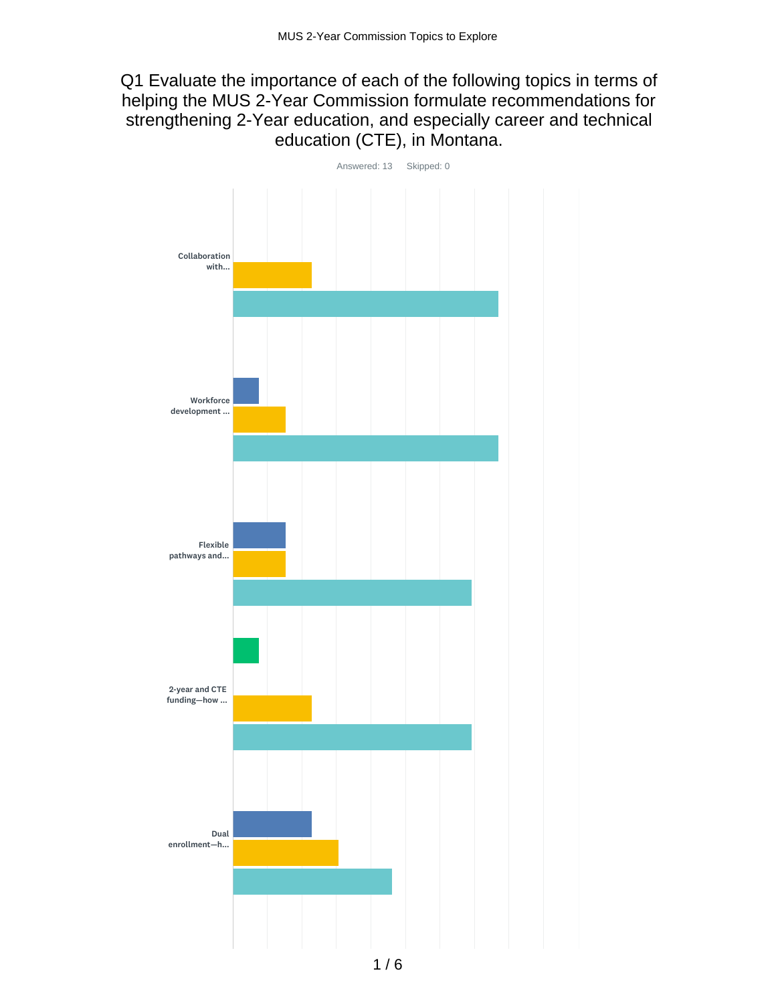## Q1 Evaluate the importance of each of the following topics in terms of helping the MUS 2-Year Commission formulate recommendations for strengthening 2-Year education, and especially career and technical education (CTE), in Montana.

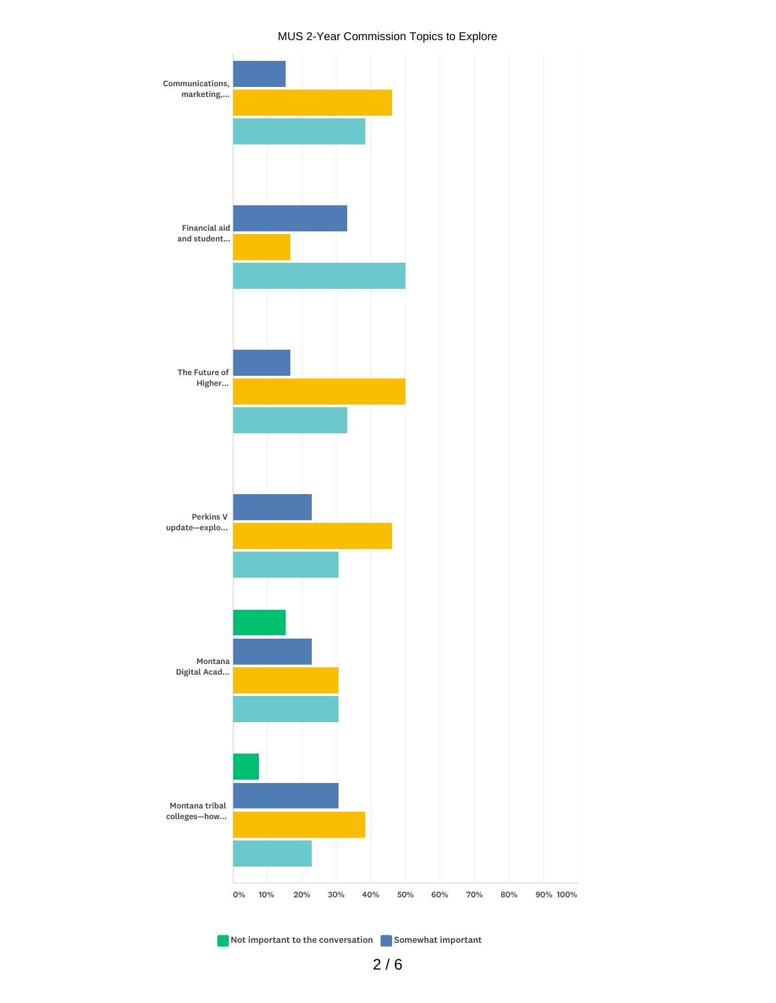#### MUS 2-Year Commission Topics to Explore



Not important to the conversation Somewhat important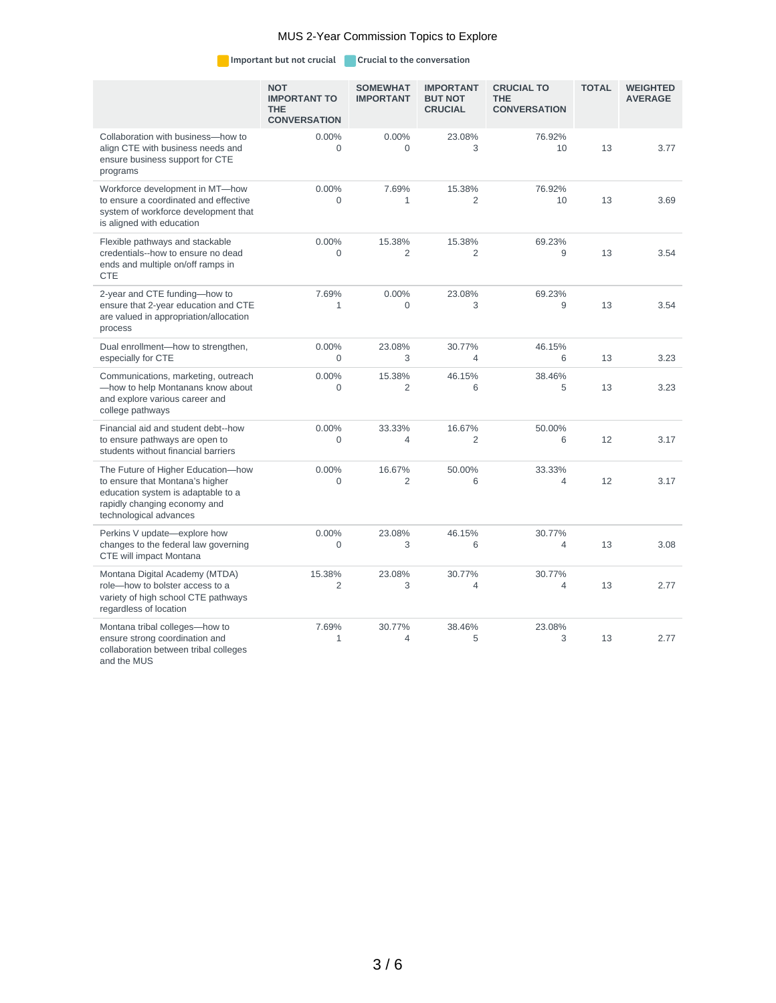#### MUS 2-Year Commission Topics to Explore

Important but not crucial Crucial to the conversation

|                                                                                                                                                                       | <b>NOT</b><br><b>IMPORTANT TO</b><br><b>THE</b><br><b>CONVERSATION</b> | <b>SOMEWHAT</b><br><b>IMPORTANT</b> | <b>IMPORTANT</b><br><b>BUT NOT</b><br><b>CRUCIAL</b> | <b>CRUCIAL TO</b><br><b>THE</b><br><b>CONVERSATION</b> | <b>TOTAL</b> | <b>WEIGHTED</b><br><b>AVERAGE</b> |
|-----------------------------------------------------------------------------------------------------------------------------------------------------------------------|------------------------------------------------------------------------|-------------------------------------|------------------------------------------------------|--------------------------------------------------------|--------------|-----------------------------------|
| Collaboration with business-how to<br>align CTE with business needs and<br>ensure business support for CTE<br>programs                                                | 0.00%<br>$\Omega$                                                      | 0.00%<br>$\Omega$                   | 23.08%<br>3                                          | 76.92%<br>10                                           | 13           | 3.77                              |
| Workforce development in MT-how<br>to ensure a coordinated and effective<br>system of workforce development that<br>is aligned with education                         | $0.00\%$<br>$\Omega$                                                   | 7.69%<br>$\mathbf{1}$               | 15.38%<br>$\overline{2}$                             | 76.92%<br>10                                           | 13           | 3.69                              |
| Flexible pathways and stackable<br>credentials--how to ensure no dead<br>ends and multiple on/off ramps in<br><b>CTE</b>                                              | 0.00%<br>$\Omega$                                                      | 15.38%<br>$\overline{c}$            | 15.38%<br>$\overline{2}$                             | 69.23%<br>9                                            | 13           | 3.54                              |
| 2-year and CTE funding-how to<br>ensure that 2-year education and CTE<br>are valued in appropriation/allocation<br>process                                            | 7.69%<br>$\mathbf{1}$                                                  | $0.00\%$<br>$\Omega$                | 23.08%<br>3                                          | 69.23%<br>9                                            | 13           | 3.54                              |
| Dual enrollment-how to strengthen,<br>especially for CTE                                                                                                              | 0.00%<br>$\overline{0}$                                                | 23.08%<br>3                         | 30.77%<br>4                                          | 46.15%<br>6                                            | 13           | 3.23                              |
| Communications, marketing, outreach<br>-how to help Montanans know about<br>and explore various career and<br>college pathways                                        | 0.00%<br>$\Omega$                                                      | 15.38%<br>$\overline{c}$            | 46.15%<br>6                                          | 38.46%<br>5                                            | 13           | 3.23                              |
| Financial aid and student debt--how<br>to ensure pathways are open to<br>students without financial barriers                                                          | 0.00%<br>$\overline{0}$                                                | 33.33%<br>$\overline{4}$            | 16.67%<br>$\overline{2}$                             | 50.00%<br>6                                            | 12           | 3.17                              |
| The Future of Higher Education-how<br>to ensure that Montana's higher<br>education system is adaptable to a<br>rapidly changing economy and<br>technological advances | 0.00%<br>$\Omega$                                                      | 16.67%<br>$\overline{2}$            | 50.00%<br>6                                          | 33.33%<br>4                                            | 12           | 3.17                              |
| Perkins V update-explore how<br>changes to the federal law governing<br>CTE will impact Montana                                                                       | 0.00%<br>$\Omega$                                                      | 23.08%<br>3                         | 46.15%<br>6                                          | 30.77%<br>$\overline{4}$                               | 13           | 3.08                              |
| Montana Digital Academy (MTDA)<br>role-how to bolster access to a<br>variety of high school CTE pathways<br>regardless of location                                    | 15.38%<br>$\overline{2}$                                               | 23.08%<br>3                         | 30.77%<br>$\overline{4}$                             | 30.77%<br>$\overline{4}$                               | 13           | 2.77                              |
| Montana tribal colleges-how to<br>ensure strong coordination and<br>collaboration between tribal colleges<br>and the MUS                                              | 7.69%<br>$\mathbf{1}$                                                  | 30.77%<br>4                         | 38.46%<br>5                                          | 23.08%<br>3                                            | 13           | 2.77                              |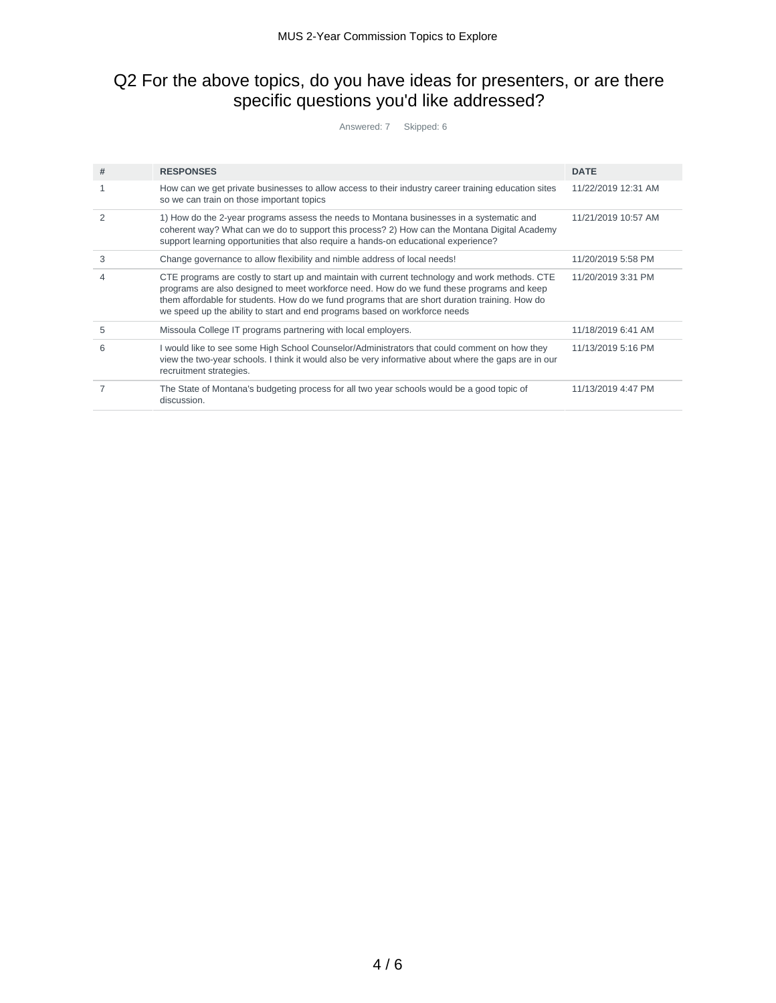### Q2 For the above topics, do you have ideas for presenters, or are there specific questions you'd like addressed?

Answered: 7 Skipped: 6

| # | <b>RESPONSES</b>                                                                                                                                                                                                                                                                                                                                                            | <b>DATE</b>         |
|---|-----------------------------------------------------------------------------------------------------------------------------------------------------------------------------------------------------------------------------------------------------------------------------------------------------------------------------------------------------------------------------|---------------------|
| 1 | How can we get private businesses to allow access to their industry career training education sites<br>so we can train on those important topics                                                                                                                                                                                                                            | 11/22/2019 12:31 AM |
|   | 1) How do the 2-year programs assess the needs to Montana businesses in a systematic and<br>coherent way? What can we do to support this process? 2) How can the Montana Digital Academy<br>support learning opportunities that also require a hands-on educational experience?                                                                                             | 11/21/2019 10:57 AM |
| 3 | Change governance to allow flexibility and nimble address of local needs!                                                                                                                                                                                                                                                                                                   | 11/20/2019 5:58 PM  |
|   | CTE programs are costly to start up and maintain with current technology and work methods. CTE<br>programs are also designed to meet workforce need. How do we fund these programs and keep<br>them affordable for students. How do we fund programs that are short duration training. How do<br>we speed up the ability to start and end programs based on workforce needs | 11/20/2019 3:31 PM  |
| 5 | Missoula College IT programs partnering with local employers.                                                                                                                                                                                                                                                                                                               | 11/18/2019 6:41 AM  |
| 6 | I would like to see some High School Counselor/Administrators that could comment on how they<br>view the two-year schools. I think it would also be very informative about where the gaps are in our<br>recruitment strategies.                                                                                                                                             | 11/13/2019 5:16 PM  |
|   | The State of Montana's budgeting process for all two year schools would be a good topic of<br>discussion.                                                                                                                                                                                                                                                                   | 11/13/2019 4:47 PM  |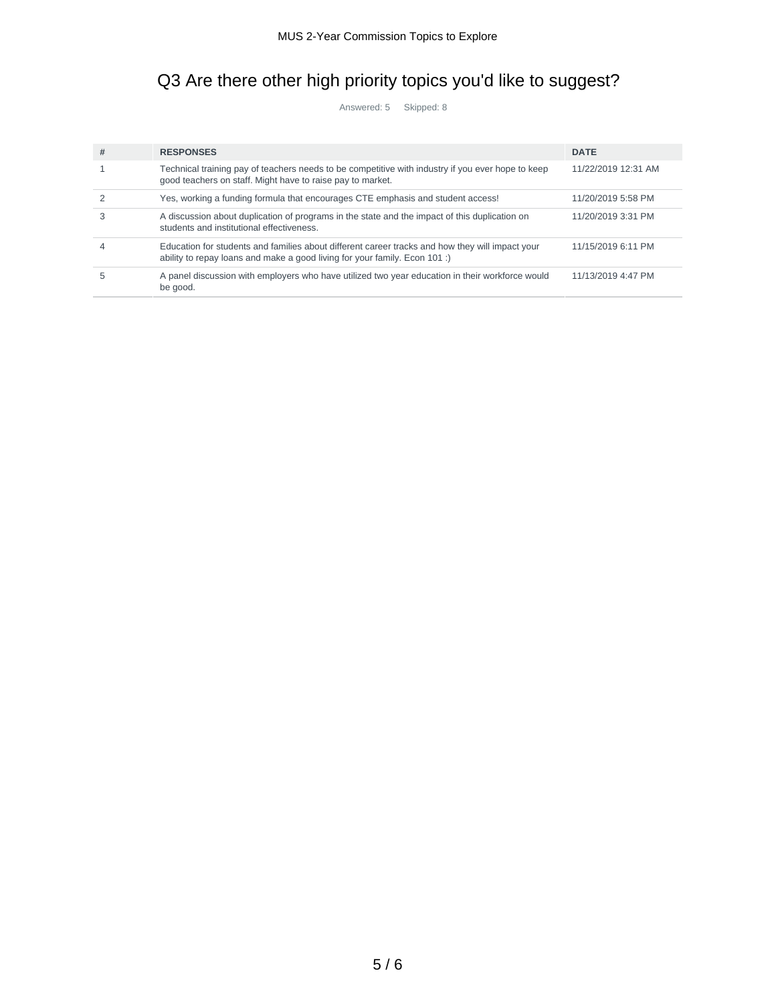# Q3 Are there other high priority topics you'd like to suggest?

Answered: 5 Skipped: 8

| #  | <b>RESPONSES</b>                                                                                                                                                              | <b>DATE</b>         |
|----|-------------------------------------------------------------------------------------------------------------------------------------------------------------------------------|---------------------|
|    | Technical training pay of teachers needs to be competitive with industry if you ever hope to keep<br>good teachers on staff. Might have to raise pay to market.               | 11/22/2019 12:31 AM |
|    | Yes, working a funding formula that encourages CTE emphasis and student access!                                                                                               | 11/20/2019 5:58 PM  |
|    | A discussion about duplication of programs in the state and the impact of this duplication on<br>students and institutional effectiveness.                                    | 11/20/2019 3:31 PM  |
|    | Education for students and families about different career tracks and how they will impact your<br>ability to repay loans and make a good living for your family. Econ 101 :) | 11/15/2019 6:11 PM  |
| ٠h | A panel discussion with employers who have utilized two year education in their workforce would<br>be good.                                                                   | 11/13/2019 4:47 PM  |